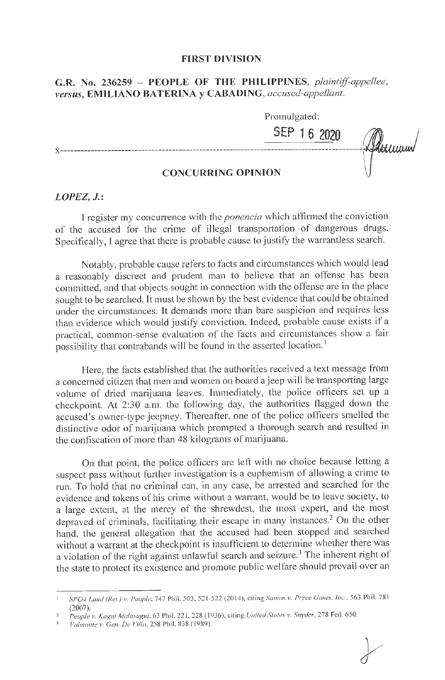#### **FIRST DIVISION**

# G.R. No. 236259 - PEOPLE OF THE PHILIPPINES, plaintiff-appellee, **JJersus, EMILIANO BATERINA y CABADING,** *accused-appellant.*

Promulgated: **SEP 1 6 2020**  Furnum

## **CONCURRING OPINION**

### *LOPEZ,* **J.:**

I register my concurrence with the *ponencia* which affirmed the conviction of the accused for the crime of illegal transportation of dangerous drugs. Specifically, I agree that there is probable cause to justify the warrantless search.

Notably, probable cause refers to facts and circumstances which would lead a reasonably discreet and prudent man to believe that an offense has been committed, and that objects sought in connection with the offense are in the place sought to be searched. It must be shown by the best evidence that could be obtained under the circumstances. lt demands more than bare suspicion and requires less than evidence which would justify conviction. Indeed, probable cause exists if a practical, common-sense evaluation of the facts and circumstances show a fair possibility that contrabands will be found in the asserted location.<sup>1</sup>

Here, the facts established that the authorities received a text message from a concerned citizen that men and women on board a jeep will be transporting large volume of dried marijuana leaves. Immediately, the police officers set up a checkpoint. At 2:30 a.m. the following day, the authorities flagged down the accused's owner-type jeepney. Thereafter, one of the police officers smelled the distinctive odor of marijuana which prompted a thorough search and resulted in the confiscation of more than 48 kilograms of marijuana.

On that point, the police officers are left with no choice because letting a suspect pass without further investigation is a euphemism of allowing a crime to run. To hold that no criminal can, in any case, be arrested and searched for the evidence and tokens of his crime without a warrant, would be to leave society, to a large extent, at the mercy of the shrewdest, the most expert, and the most depraved of criminals, facilitating their escape in many instances. 2 On the other hand, the general allegation that the accused had been stopped and searched without a warrant at the checkpoint is insufficient to determine whether there was a violation of the right against unlawful search and seizure.<sup>3</sup> The inherent right of the state to protect its existence and promote public welfare should prevail over an

<sup>1</sup>*SP04 Laud (Rel.) v. People,* 747 Phil. 503, 5'.'. 1-521(2014), citing *Santos v. P1yce Gases. Inc:.,* 563 Phil. 78 1 (2007).

*People v. Kagui Ma!a.1·11r;ui,* 63 Ph il. 221, 228 ( 1936), citing *United Sia/es v. Snyder,* 278 Fed. 650.

*Va/111011/e v. Gen. De Villa,* 258 Phil. 838 ( 1989).